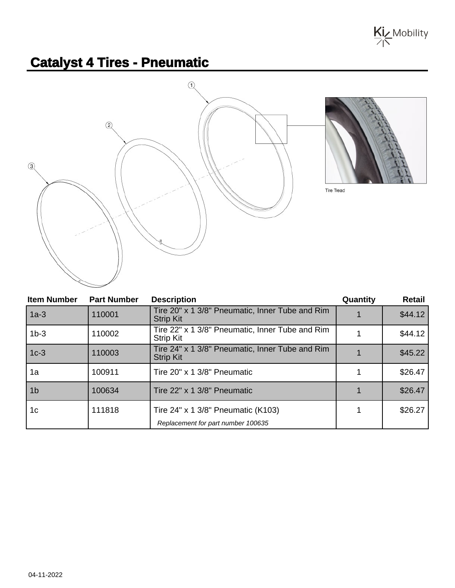

## **Catalyst 4 Tires - Pneumatic**





Tire Tread

| <b>Item Number</b> | <b>Part Number</b> | <b>Description</b>                                                  | Quantity | Retail  |
|--------------------|--------------------|---------------------------------------------------------------------|----------|---------|
| $1a-3$             | 110001             | Tire 20" x 1 3/8" Pneumatic, Inner Tube and Rim<br><b>Strip Kit</b> |          | \$44.12 |
| $1b-3$             | 110002             | Tire 22" x 1 3/8" Pneumatic, Inner Tube and Rim<br><b>Strip Kit</b> |          | \$44.12 |
| $1c-3$             | 110003             | Tire 24" x 1 3/8" Pneumatic, Inner Tube and Rim<br><b>Strip Kit</b> |          | \$45.22 |
| 1a                 | 100911             | Tire 20" x 1 3/8" Pneumatic                                         |          | \$26.47 |
| 1 <sub>b</sub>     | 100634             | Tire 22" x 1 3/8" Pneumatic                                         |          | \$26.47 |
| 1 <sub>c</sub>     | 111818             | Tire 24" x 1 3/8" Pneumatic (K103)                                  |          | \$26.27 |
|                    |                    | Replacement for part number 100635                                  |          |         |